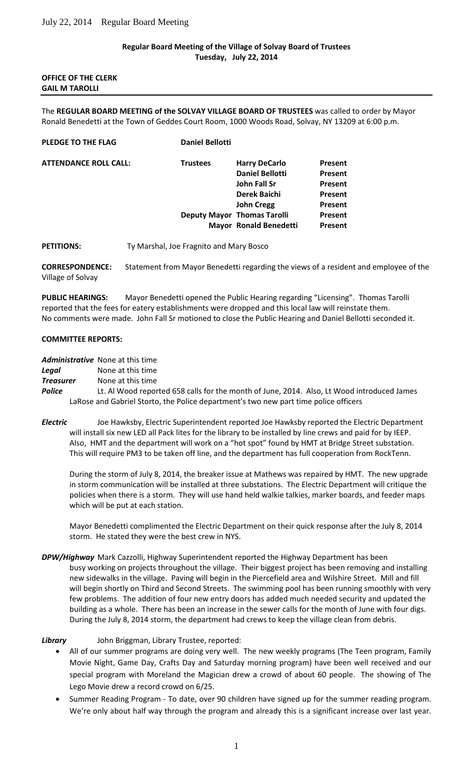### **Regular Board Meeting of the Village of Solvay Board of Trustees Tuesday, July 22, 2014**

**OFFICE OF THE CLERK GAIL M TAROLLI**

The **REGULAR BOARD MEETING of the SOLVAY VILLAGE BOARD OF TRUSTEES** was called to order by Mayor Ronald Benedetti at the Town of Geddes Court Room, 1000 Woods Road, Solvay, NY 13209 at 6:00 p.m.

| PLEDGE TO THE FLAG           | <b>Daniel Bellotti</b> |                                    |                |
|------------------------------|------------------------|------------------------------------|----------------|
| <b>ATTENDANCE ROLL CALL:</b> | <b>Trustees</b>        | <b>Harry DeCarlo</b>               | <b>Present</b> |
|                              |                        | <b>Daniel Bellotti</b>             | Present        |
|                              |                        | John Fall Sr                       | Present        |
|                              |                        | Derek Baichi                       | <b>Present</b> |
|                              |                        | <b>John Cregg</b>                  | <b>Present</b> |
|                              |                        | <b>Deputy Mayor Thomas Tarolli</b> | Present        |
|                              |                        | Mayor Ronald Benedetti             | <b>Present</b> |

PETITIONS: Ty Marshal, Joe Fragnito and Mary Bosco

**CORRESPONDENCE:** Statement from Mayor Benedetti regarding the views of a resident and employee of the Village of Solvay

**PUBLIC HEARINGS:** Mayor Benedetti opened the Public Hearing regarding "Licensing". Thomas Tarolli reported that the fees for eatery establishments were dropped and this local law will reinstate them. No comments were made. John Fall Sr motioned to close the Public Hearing and Daniel Bellotti seconded it.

### **COMMITTEE REPORTS:**

*Administrative* None at this time

*Legal* None at this time

*Treasurer* None at this time

*Police* Lt. Al Wood reported 658 calls for the month of June, 2014. Also, Lt Wood introduced James LaRose and Gabriel Storto, the Police department's two new part time police officers

*Electric* Joe Hawksby, Electric Superintendent reported Joe Hawksby reported the Electric Department will install six new LED all Pack lites for the library to be installed by line crews and paid for by IEEP. Also, HMT and the department will work on a "hot spot" found by HMT at Bridge Street substation. This will require PM3 to be taken off line, and the department has full cooperation from RockTenn.

During the storm of July 8, 2014, the breaker issue at Mathews was repaired by HMT. The new upgrade in storm communication will be installed at three substations. The Electric Department will critique the policies when there is a storm. They will use hand held walkie talkies, marker boards, and feeder maps which will be put at each station.

Mayor Benedetti complimented the Electric Department on their quick response after the July 8, 2014 storm. He stated they were the best crew in NYS.

*DPW/Highway* Mark Cazzolli, Highway Superintendent reported the Highway Department has been busy working on projects throughout the village. Their biggest project has been removing and installing new sidewalks in the village. Paving will begin in the Piercefield area and Wilshire Street. Mill and fill will begin shortly on Third and Second Streets. The swimming pool has been running smoothly with very few problems. The addition of four new entry doors has added much needed security and updated the building as a whole. There has been an increase in the sewer calls for the month of June with four digs. During the July 8, 2014 storm, the department had crews to keep the village clean from debris.

# *Library* John Briggman, Library Trustee, reported:

- All of our summer programs are doing very well. The new weekly programs (The Teen program, Family Movie Night, Game Day, Crafts Day and Saturday morning program) have been well received and our special program with Moreland the Magician drew a crowd of about 60 people. The showing of The Lego Movie drew a record crowd on 6/25.
- Summer Reading Program To date, over 90 children have signed up for the summer reading program. We're only about half way through the program and already this is a significant increase over last year.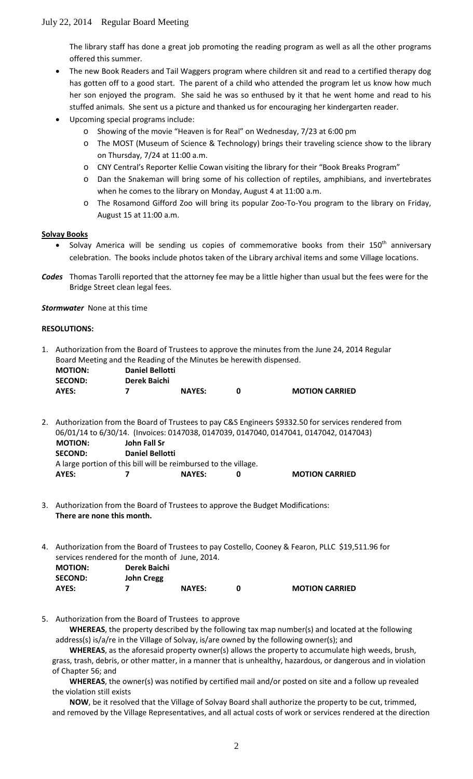The library staff has done a great job promoting the reading program as well as all the other programs offered this summer.

- The new Book Readers and Tail Waggers program where children sit and read to a certified therapy dog has gotten off to a good start. The parent of a child who attended the program let us know how much her son enjoyed the program. She said he was so enthused by it that he went home and read to his stuffed animals. She sent us a picture and thanked us for encouraging her kindergarten reader.
- Upcoming special programs include:
	- o Showing of the movie "Heaven is for Real" on Wednesday, 7/23 at 6:00 pm
	- o The MOST (Museum of Science & Technology) brings their traveling science show to the library on Thursday, 7/24 at 11:00 a.m.
	- o CNY Central's Reporter Kellie Cowan visiting the library for their "Book Breaks Program"
	- o Dan the Snakeman will bring some of his collection of reptiles, amphibians, and invertebrates when he comes to the library on Monday, August 4 at 11:00 a.m.
	- o The Rosamond Gifford Zoo will bring its popular Zoo-To-You program to the library on Friday, August 15 at 11:00 a.m.

# **Solvay Books**

- Solvay America will be sending us copies of commemorative books from their 150<sup>th</sup> anniversary celebration. The books include photos taken of the Library archival items and some Village locations.
- *Codes* Thomas Tarolli reported that the attorney fee may be a little higher than usual but the fees were for the Bridge Street clean legal fees.

*Stormwater* None at this time

#### **RESOLUTIONS:**

1. Authorization from the Board of Trustees to approve the minutes from the June 24, 2014 Regular Board Meeting and the Reading of the Minutes be herewith dispensed.

| <b>MOTION:</b> | <b>Daniel Bellotti</b> |               |                       |
|----------------|------------------------|---------------|-----------------------|
| <b>SECOND:</b> | Derek Baichi           |               |                       |
| AYES:          |                        | <b>NAYES:</b> | <b>MOTION CARRIED</b> |

2. Authorization from the Board of Trustees to pay C&S Engineers \$9332.50 for services rendered from 06/01/14 to 6/30/14. (Invoices: 0147038, 0147039, 0147040, 0147041, 0147042, 0147043)  **MOTION: John Fall Sr SECOND: Daniel Bellotti** A large portion of this bill will be reimbursed to the village.

| AYES: | <b>NAYES:</b> | <b>MOTION CARRIED</b> |
|-------|---------------|-----------------------|
|       |               |                       |

- 3. Authorization from the Board of Trustees to approve the Budget Modifications: **There are none this month.**
- 4. Authorization from the Board of Trustees to pay Costello, Cooney & Fearon, PLLC \$19,511.96 for services rendered for the month of June, 2014.

| <b>MOTION:</b> | Derek Baichi |               |                       |
|----------------|--------------|---------------|-----------------------|
| <b>SECOND:</b> | John Cregg   |               |                       |
| AYES:          |              | <b>NAYES:</b> | <b>MOTION CARRIED</b> |

5. Authorization from the Board of Trustees to approve

**WHEREAS**, the property described by the following tax map number(s) and located at the following address(s) is/a/re in the Village of Solvay, is/are owned by the following owner(s); and

**WHEREAS**, as the aforesaid property owner(s) allows the property to accumulate high weeds, brush, grass, trash, debris, or other matter, in a manner that is unhealthy, hazardous, or dangerous and in violation of Chapter 56; and

**WHEREAS**, the owner(s) was notified by certified mail and/or posted on site and a follow up revealed the violation still exists

**NOW**, be it resolved that the Village of Solvay Board shall authorize the property to be cut, trimmed, and removed by the Village Representatives, and all actual costs of work or services rendered at the direction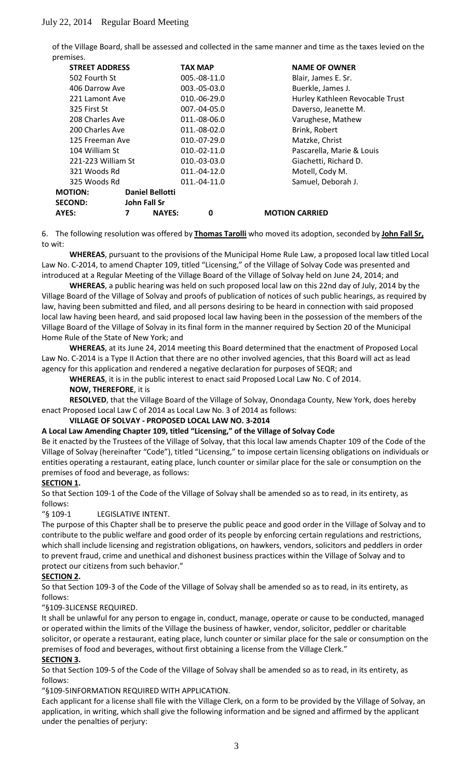of the Village Board, shall be assessed and collected in the same manner and time as the taxes levied on the premises.

| <b>STREET ADDRESS</b> |   |                        | <b>TAX MAP</b> | <b>NAME OF OWNER</b>            |
|-----------------------|---|------------------------|----------------|---------------------------------|
| 502 Fourth St         |   |                        | 005.-08-11.0   | Blair, James E. Sr.             |
| 406 Darrow Ave        |   |                        | $003.-05-03.0$ | Buerkle, James J.               |
| 221 Lamont Ave        |   |                        | $010.-06-29.0$ | Hurley Kathleen Revocable Trust |
| 325 First St          |   |                        | 007.-04-05.0   | Daverso, Jeanette M.            |
| 208 Charles Ave       |   |                        | 011.-08-06.0   | Varughese, Mathew               |
| 200 Charles Ave       |   |                        | 011.-08-02.0   | Brink, Robert                   |
| 125 Freeman Ave       |   |                        | $010.-07-29.0$ | Matzke, Christ                  |
| 104 William St        |   |                        | $010.-02-11.0$ | Pascarella, Marie & Louis       |
| 221-223 William St    |   |                        | $010.-03-03.0$ | Giachetti, Richard D.           |
| 321 Woods Rd          |   |                        | 011.-04-12.0   | Motell, Cody M.                 |
| 325 Woods Rd          |   |                        | 011.-04-11.0   | Samuel, Deborah J.              |
| <b>MOTION:</b>        |   | <b>Daniel Bellotti</b> |                |                                 |
| <b>SECOND:</b>        |   | John Fall Sr           |                |                                 |
| AYES:                 | 7 | <b>NAYES:</b>          | 0              | <b>MOTION CARRIED</b>           |

6. The following resolution was offered by **Thomas Tarolli** who moved its adoption, seconded by **John Fall Sr,** to wit:

**WHEREAS**, pursuant to the provisions of the Municipal Home Rule Law, a proposed local law titled Local Law No. C-2014, to amend Chapter 109, titled "Licensing," of the Village of Solvay Code was presented and introduced at a Regular Meeting of the Village Board of the Village of Solvay held on June 24, 2014; and

**WHEREAS**, a public hearing was held on such proposed local law on this 22nd day of July, 2014 by the Village Board of the Village of Solvay and proofs of publication of notices of such public hearings, as required by law, having been submitted and filed, and all persons desiring to be heard in connection with said proposed local law having been heard, and said proposed local law having been in the possession of the members of the Village Board of the Village of Solvay in its final form in the manner required by Section 20 of the Municipal Home Rule of the State of New York; and

**WHEREAS**, at its June 24, 2014 meeting this Board determined that the enactment of Proposed Local Law No. C-2014 is a Type II Action that there are no other involved agencies, that this Board will act as lead agency for this application and rendered a negative declaration for purposes of SEQR; and

**WHEREAS**, it is in the public interest to enact said Proposed Local Law No. C of 2014.

#### **NOW, THEREFORE**, it is

**RESOLVED**, that the Village Board of the Village of Solvay, Onondaga County, New York, does hereby enact Proposed Local Law C of 2014 as Local Law No. 3 of 2014 as follows:

#### **VILLAGE OF SOLVAY - PROPOSED LOCAL LAW NO. 3-2014**

#### **A Local Law Amending Chapter 109, titled "Licensing," of the Village of Solvay Code**

Be it enacted by the Trustees of the Village of Solvay, that this local law amends Chapter 109 of the Code of the Village of Solvay (hereinafter "Code"), titled "Licensing," to impose certain licensing obligations on individuals or entities operating a restaurant, eating place, lunch counter or similar place for the sale or consumption on the premises of food and beverage, as follows:

# **SECTION 1 .**

So that Section 109-1 of the Code of the Village of Solvay shall be amended so as to read, in its entirety, as follows:

"§ 109-1 LEGISLATIVE INTENT.

The purpose of this Chapter shall be to preserve the public peace and good order in the Village of Solvay and to contribute to the public welfare and good order of its people by enforcing certain regulations and restrictions, which shall include licensing and registration obligations, on hawkers, vendors, solicitors and peddlers in order to prevent fraud, crime and unethical and dishonest business practices within the Village of Solvay and to protect our citizens from such behavior."

# **SECTION 2 .**

So that Section 109-3 of the Code of the Village of Solvay shall be amended so as to read, in its entirety, as follows:

"§109-3LICENSE REQUIRED.

It shall be unlawful for any person to engage in, conduct, manage, operate or cause to be conducted, managed or operated within the limits of the Village the business of hawker, vendor, solicitor, peddler or charitable solicitor, or operate a restaurant, eating place, lunch counter or similar place for the sale or consumption on the premises of food and beverages, without first obtaining a license from the Village Clerk."

#### **SECTION 3 .**

So that Section 109-5 of the Code of the Village of Solvay shall be amended so as to read, in its entirety, as follows:

"§109-5INFORMATION REQUIRED WITH APPLICATION.

Each applicant for a license shall file with the Village Clerk, on a form to be provided by the Village of Solvay, an application, in writing, which shall give the following information and be signed and affirmed by the applicant under the penalties of perjury: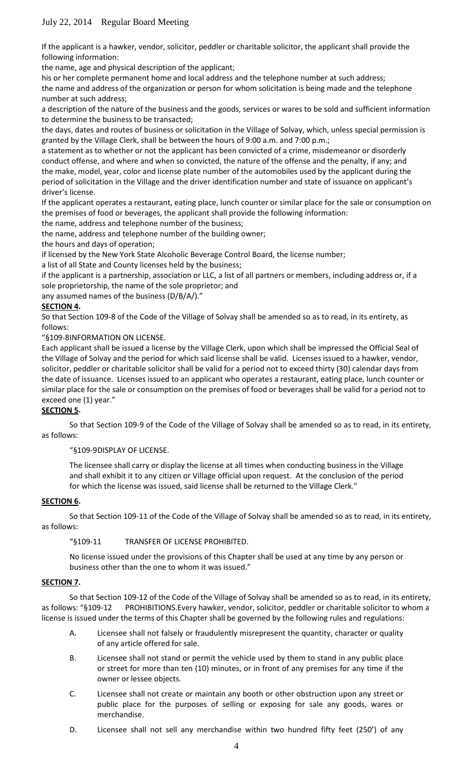If the applicant is a hawker, vendor, solicitor, peddler or charitable solicitor, the applicant shall provide the following information:

the name, age and physical description of the applicant;

his or her complete permanent home and local address and the telephone number at such address; the name and address of the organization or person for whom solicitation is being made and the telephone number at such address;

a description of the nature of the business and the goods, services or wares to be sold and sufficient information to determine the business to be transacted;

the days, dates and routes of business or solicitation in the Village of Solvay, which, unless special permission is granted by the Village Clerk, shall be between the hours of 9:00 a.m. and 7:00 p.m.;

a statement as to whether or not the applicant has been convicted of a crime, misdemeanor or disorderly conduct offense, and where and when so convicted, the nature of the offense and the penalty, if any; and the make, model, year, color and license plate number of the automobiles used by the applicant during the period of solicitation in the Village and the driver identification number and state of issuance on applicant's driver's license.

If the applicant operates a restaurant, eating place, lunch counter or similar place for the sale or consumption on the premises of food or beverages, the applicant shall provide the following information:

the name, address and telephone number of the business;

the name, address and telephone number of the building owner;

the hours and days of operation;

if licensed by the New York State Alcoholic Beverage Control Board, the license number;

a list of all State and County licenses held by the business;

if the applicant is a partnership, association or LLC, a list of all partners or members, including address or, if a sole proprietorship, the name of the sole proprietor; and

any assumed names of the business (D/B/A/)."

### **SECTION 4 .**

So that Section 109-8 of the Code of the Village of Solvay shall be amended so as to read, in its entirety, as follows:

"§109-8INFORMATION ON LICENSE.

Each applicant shall be issued a license by the Village Clerk, upon which shall be impressed the Official Seal of the Village of Solvay and the period for which said license shall be valid. Licenses issued to a hawker, vendor, solicitor, peddler or charitable solicitor shall be valid for a period not to exceed thirty (30) calendar days from the date of issuance. Licenses issued to an applicant who operates a restaurant, eating place, lunch counter or similar place for the sale or consumption on the premises of food or beverages shall be valid for a period not to exceed one (1) year."

### **SECTION 5 .**

So that Section 109-9 of the Code of the Village of Solvay shall be amended so as to read, in its entirety, as follows:

"§109-9DISPLAY OF LICENSE.

The licensee shall carry or display the license at all times when conducting business in the Village and shall exhibit it to any citizen or Village official upon request. At the conclusion of the period for which the license was issued, said license shall be returned to the Village Clerk."

#### **SECTION 6 .**

So that Section 109-11 of the Code of the Village of Solvay shall be amended so as to read, in its entirety, as follows:

"§109-11 TRANSFER OF LICENSE PROHIBITED.

No license issued under the provisions of this Chapter shall be used at any time by any person or business other than the one to whom it was issued."

#### **SECTION 7 .**

So that Section 109-12 of the Code of the Village of Solvay shall be amended so as to read, in its entirety, as follows: "§109-12 PROHIBITIONS.Every hawker, vendor, solicitor, peddler or charitable solicitor to whom a license is issued under the terms of this Chapter shall be governed by the following rules and regulations:

- A. Licensee shall not falsely or fraudulently misrepresent the quantity, character or quality of any article offered for sale.
- B. Licensee shall not stand or permit the vehicle used by them to stand in any public place or street for more than ten (10) minutes, or in front of any premises for any time if the owner or lessee objects.
- C. Licensee shall not create or maintain any booth or other obstruction upon any street or public place for the purposes of selling or exposing for sale any goods, wares or merchandise.
- D. Licensee shall not sell any merchandise within two hundred fifty feet (250') of any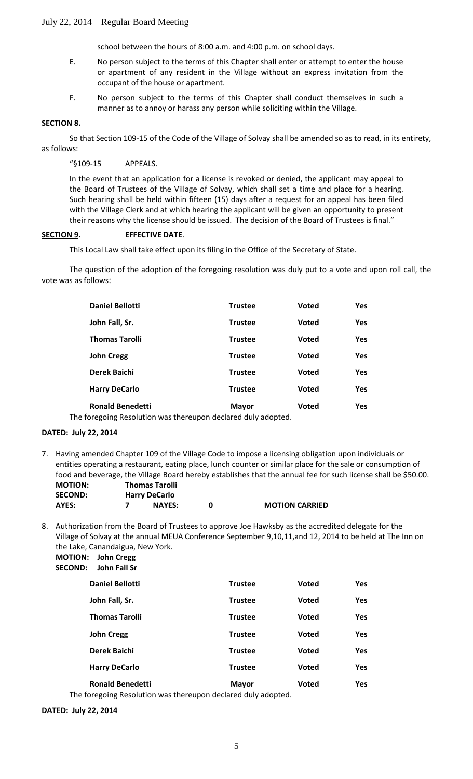school between the hours of 8:00 a.m. and 4:00 p.m. on school days.

- E. No person subject to the terms of this Chapter shall enter or attempt to enter the house or apartment of any resident in the Village without an express invitation from the occupant of the house or apartment.
- F. No person subject to the terms of this Chapter shall conduct themselves in such a manner as to annoy or harass any person while soliciting within the Village.

#### **SECTION 8 .**

So that Section 109-15 of the Code of the Village of Solvay shall be amended so as to read, in its entirety, as follows:

#### "§109-15 APPEALS.

In the event that an application for a license is revoked or denied, the applicant may appeal to the Board of Trustees of the Village of Solvay, which shall set a time and place for a hearing. Such hearing shall be held within fifteen (15) days after a request for an appeal has been filed with the Village Clerk and at which hearing the applicant will be given an opportunity to present their reasons why the license should be issued. The decision of the Board of Trustees is final."

#### **SECTION 9 . EFFECTIVE DATE**.

This Local Law shall take effect upon its filing in the Office of the Secretary of State.

The question of the adoption of the foregoing resolution was duly put to a vote and upon roll call, the vote was as follows:

| <b>Daniel Bellotti</b>                                                                                      | <b>Trustee</b> | <b>Voted</b> | Yes |
|-------------------------------------------------------------------------------------------------------------|----------------|--------------|-----|
| John Fall, Sr.                                                                                              | <b>Trustee</b> | <b>Voted</b> | Yes |
| <b>Thomas Tarolli</b>                                                                                       | <b>Trustee</b> | <b>Voted</b> | Yes |
| <b>John Cregg</b>                                                                                           | <b>Trustee</b> | <b>Voted</b> | Yes |
| Derek Baichi                                                                                                | <b>Trustee</b> | <b>Voted</b> | Yes |
| <b>Harry DeCarlo</b>                                                                                        | <b>Trustee</b> | <b>Voted</b> | Yes |
| <b>Ronald Benedetti</b><br>'s concert of Bossel attack a construction of a standard at the state of a state | <b>Mayor</b>   | <b>Voted</b> | Yes |

The foregoing Resolution was thereupon declared duly adopted.

#### **DATED: July 22, 2014**

7. Having amended Chapter 109 of the Village Code to impose a licensing obligation upon individuals or entities operating a restaurant, eating place, lunch counter or similar place for the sale or consumption of food and beverage, the Village Board hereby establishes that the annual fee for such license shall be \$50.00. **MOTION: Thomas Tarolli**

| <b>SECOND:</b> | <b>Harry DeCarlo</b> |                       |
|----------------|----------------------|-----------------------|
| AYES:          | <b>NAYES:</b>        | <b>MOTION CARRIED</b> |

8. Authorization from the Board of Trustees to approve Joe Hawksby as the accredited delegate for the Village of Solvay at the annual MEUA Conference September 9,10,11,and 12, 2014 to be held at The Inn on the Lake, Canandaigua, New York.

**MOTION: John Cregg SECOND: John Fall Sr**

| ╍ | JUIII LAILJI                                                                                           |                |              |            |
|---|--------------------------------------------------------------------------------------------------------|----------------|--------------|------------|
|   | <b>Daniel Bellotti</b>                                                                                 | <b>Trustee</b> | <b>Voted</b> | <b>Yes</b> |
|   | John Fall, Sr.                                                                                         | <b>Trustee</b> | <b>Voted</b> | <b>Yes</b> |
|   | <b>Thomas Tarolli</b>                                                                                  | <b>Trustee</b> | Voted        | <b>Yes</b> |
|   | <b>John Cregg</b>                                                                                      | <b>Trustee</b> | <b>Voted</b> | <b>Yes</b> |
|   | Derek Baichi                                                                                           | <b>Trustee</b> | <b>Voted</b> | <b>Yes</b> |
|   | <b>Harry DeCarlo</b>                                                                                   | <b>Trustee</b> | <b>Voted</b> | <b>Yes</b> |
|   | <b>Ronald Benedetti</b><br>a faces at a model at a company and a control of the following the state of | <b>Mayor</b>   | Voted        | <b>Yes</b> |
|   |                                                                                                        |                |              |            |

The foregoing Resolution was thereupon declared duly adopted.

**DATED: July 22, 2014**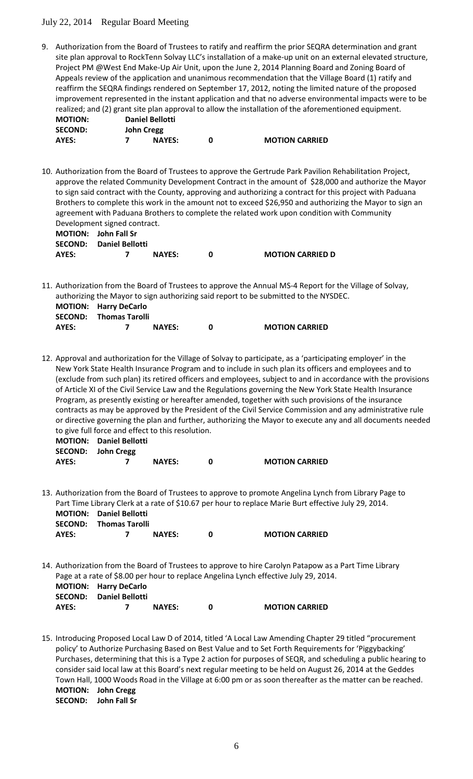9. Authorization from the Board of Trustees to ratify and reaffirm the prior SEQRA determination and grant site plan approval to RockTenn Solvay LLC's installation of a make-up unit on an external elevated structure, Project PM @West End Make-Up Air Unit, upon the June 2, 2014 Planning Board and Zoning Board of Appeals review of the application and unanimous recommendation that the Village Board (1) ratify and reaffirm the SEQRA findings rendered on September 17, 2012, noting the limited nature of the proposed improvement represented in the instant application and that no adverse environmental impacts were to be realized; and (2) grant site plan approval to allow the installation of the aforementioned equipment.

| <b>MOTION:</b> | <b>Daniel Bellotti</b> |               |                       |
|----------------|------------------------|---------------|-----------------------|
| <b>SECOND:</b> | <b>John Cregg</b>      |               |                       |
| AYES:          |                        | <b>NAYES:</b> | <b>MOTION CARRIED</b> |

10. Authorization from the Board of Trustees to approve the Gertrude Park Pavilion Rehabilitation Project, approve the related Community Development Contract in the amount of \$28,000 and authorize the Mayor to sign said contract with the County, approving and authorizing a contract for this project with Paduana Brothers to complete this work in the amount not to exceed \$26,950 and authorizing the Mayor to sign an agreement with Paduana Brothers to complete the related work upon condition with Community Development signed contract. **MOTION: John Fall Sr**

|       | <b>SECOND:</b> Daniel Bellotti |               |                         |
|-------|--------------------------------|---------------|-------------------------|
| AYES: |                                | <b>NAYES:</b> | <b>MOTION CARRIED D</b> |

11. Authorization from the Board of Trustees to approve the Annual MS-4 Report for the Village of Solvay, authorizing the Mayor to sign authorizing said report to be submitted to the NYSDEC.

|       | <b>MOTION: Harry DeCarlo</b>  |               |                       |
|-------|-------------------------------|---------------|-----------------------|
|       | <b>SECOND:</b> Thomas Tarolli |               |                       |
| AYES: |                               | <b>NAYES:</b> | <b>MOTION CARRIED</b> |

12. Approval and authorization for the Village of Solvay to participate, as a 'participating employer' in the New York State Health Insurance Program and to include in such plan its officers and employees and to (exclude from such plan) its retired officers and employees, subject to and in accordance with the provisions of Article XI of the Civil Service Law and the Regulations governing the New York State Health Insurance Program, as presently existing or hereafter amended, together with such provisions of the insurance contracts as may be approved by the President of the Civil Service Commission and any administrative rule or directive governing the plan and further, authorizing the Mayor to execute any and all documents needed to give full force and effect to this resolution.

|       | <b>MOTION:</b> Daniel Bellotti |               |                       |
|-------|--------------------------------|---------------|-----------------------|
|       | SECOND: John Cregg             |               |                       |
| AYES: |                                | <b>NAYES:</b> | <b>MOTION CARRIED</b> |

13. Authorization from the Board of Trustees to approve to promote Angelina Lynch from Library Page to Part Time Library Clerk at a rate of \$10.67 per hour to replace Marie Burt effective July 29, 2014. **MOTION: Daniel Bellotti SECOND: Thomas Tarolli**

| AYES: | <b>NAYES:</b> | <b>MOTION CARRIED</b> |
|-------|---------------|-----------------------|
|       |               |                       |

14. Authorization from the Board of Trustees to approve to hire Carolyn Patapow as a Part Time Library Page at a rate of \$8.00 per hour to replace Angelina Lynch effective July 29, 2014. **MOTION: Harry DeCarlo SECOND: Daniel Bellotti**

| AYES: | - - - - - - - - - - - - - - | <b>NAYES:</b> | <b>MOTION CARRIED</b> |
|-------|-----------------------------|---------------|-----------------------|
|       |                             |               |                       |

15. Introducing Proposed Local Law D of 2014, titled 'A Local Law Amending Chapter 29 titled "procurement policy' to Authorize Purchasing Based on Best Value and to Set Forth Requirements for 'Piggybacking' Purchases, determining that this is a Type 2 action for purposes of SEQR, and scheduling a public hearing to consider said local law at this Board's next regular meeting to be held on August 26, 2014 at the Geddes Town Hall, 1000 Woods Road in the Village at 6:00 pm or as soon thereafter as the matter can be reached. **MOTION: John Cregg SECOND: John Fall Sr**